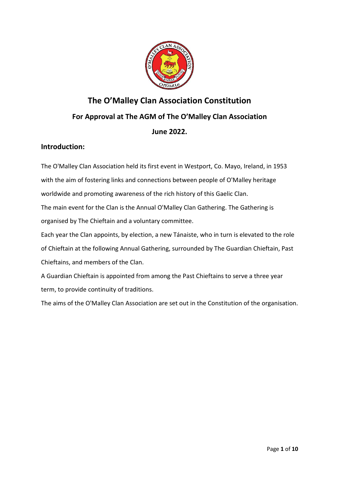

# **The O'Malley Clan Association Constitution** For Approval at The AGM of The O'Malley Clan Association **June 2022.**

## **Introduction:**

The O'Malley Clan Association held its first event in Westport, Co. Mayo, Ireland, in 1953 with the aim of fostering links and connections between people of O'Malley heritage worldwide and promoting awareness of the rich history of this Gaelic Clan. The main event for the Clan is the Annual O'Malley Clan Gathering. The Gathering is organised by The Chieftain and a voluntary committee. Each year the Clan appoints, by election, a new Tánaiste, who in turn is elevated to the role<br>of Chieftain at the following Annual Gathering, surrounded by The Guardian Chieftain, Past of Chieftain at the following Annual Gathering, surrounded by The Guardian Chie

Chieftains, and members of the Clan.

A Guardian Chieftain is appointed from among the Past Chieftains to serve a three year term, to provide continuity of traditions.

The aims of the O'Malley Clan Association are set out in the Constitution of the organisation.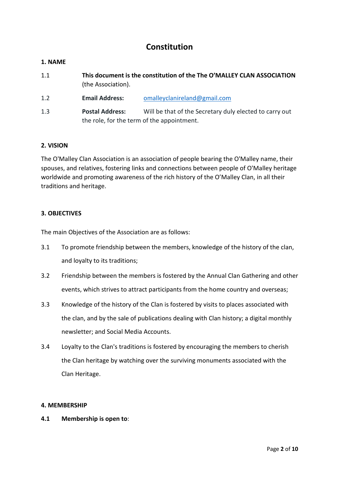# **Constitution**

## **1. NAME**

- 1.1 **This document is the constitution of the The O'MALLEY CLAN ASSOCIATION** (the Association).
- 1.2 **Email Address:** omalleyclanireland@gmail.com
- 1.3 **Postal Address:** Will be that of the Secretary duly elected to carry out the role, for the term of the appointment.

## **2. VISION**

The O'Malley Clan Association is an association of people bearing the O'Malley name, their spouses, and relatives, fostering links and connections between people of O'Malley heritage worldwide and promoting awareness of the rich history of the O'Malley Clan, in all their traditions and heritage.

## **3. OBJECTIVES**

The main Objectives of the Association are as follows:

- 3.1 To promote friendship between the members, knowledge of the history of the clan, and loyalty to its traditions;
- 3.2 Friendship between the members is fostered by the Annual Clan Gathering and other events, which strives to attract participants from the home country and overseas;
- 3.3 Knowledge of the history of the Clan is fostered by visits to places associated with the clan, and by the sale of publications dealing with Clan history; a digital monthly newsletter; and Social Media Accounts.
- 3.4 Loyalty to the Clan's traditions is fostered by encouraging the members to cherish the Clan heritage by watching over the surviving monuments associated with the Clan Heritage.

## **4. MEMBERSHIP**

**4.1 Membership is open to**: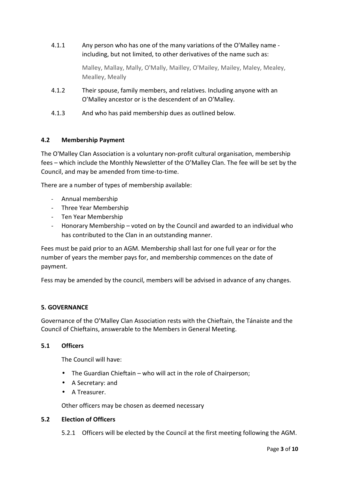4.1.1 Any person who has one of the many variations of the O'Malley name including, but not limited, to other derivatives of the name such as:

> Malley, Mallay, Mally, O'Mally, Mailley, O'Mailey, Mailey, Maley, Mealey, Mealley, Meally

- 4.1.2 Their spouse, family members, and relatives. Including anyone with an O'Malley ancestor or is the descendent of an O'Malley.
- 4.1.3 And who has paid membership dues as outlined below.

## **4.2 Membership Payment**

The O'Malley Clan Association is a voluntary non-profit cultural organisation, membership fees – which include the Monthly Newsletter of the O'Malley Clan. The fee will be set by the Council, and may be amended from time-to-time.

There are a number of types of membership available:

- Annual membership
- Three Year Membership
- Ten Year Membership
- Honorary Membership voted on by the Council and awarded to an individual who has contributed to the Clan in an outstanding manner.

Fees must be paid prior to an AGM. Membership shall last for one full year or for the number of years the member pays for, and membership commences on the date of payment.

Fess may be amended by the council, members will be advised in advance of any changes.

## **5. GOVERNANCE**

Governance of the O'Malley Clan Association rests with the Chieftain, the Tánaiste and the Council of Chieftains, answerable to the Members in General Meeting.

## **5.1 Officers**

The Council will have:

- The Guardian Chieftain who will act in the role of Chairperson;
- A Secretary: and
- A Treasurer.

Other officers may be chosen as deemed necessary

#### **5.2 Election of Officers**

5.2.1 Officers will be elected by the Council at the first meeting following the AGM.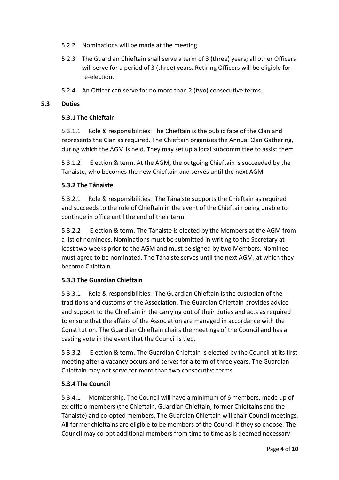- 5.2.2 Nominations will be made at the meeting.
- 5.2.3 The Guardian Chieftain shall serve a term of 3 (three) years; all other Officers will serve for a period of 3 (three) years. Retiring Officers will be eligible for re-election.
- 5.2.4 An Officer can serve for no more than 2 (two) consecutive terms.

## **5.3 Duties**

## **5.3.1 The Chieftain**

5.3.1.1 Role & responsibilities: The Chieftain is the public face of the Clan and represents the Clan as required. The Chieftain organises the Annual Clan Gathering, during which the AGM is held. They may set up a local subcommittee to assist them

5.3.1.2 Election & term. At the AGM, the outgoing Chieftain is succeeded by the Tánaiste, who becomes the new Chieftain and serves until the next AGM.

## **5.3.2 The Tánaiste**

5.3.2.1 Role & responsibilities: The Tánaiste supports the Chieftain as required and succeeds to the role of Chieftain in the event of the Chieftain being unable to continue in office until the end of their term.

5.3.2.2 Election & term. The Tánaiste is elected by the Members at the AGM from a list of nominees. Nominations must be submitted in writing to the Secretary at least two weeks prior to the AGM and must be signed by two Members. Nominee must agree to be nominated. The Tánaiste serves until the next AGM, at which they become Chieftain.

## **5.3.3 The Guardian Chieftain**

5.3.3.1 Role & responsibilities: The Guardian Chieftain is the custodian of the traditions and customs of the Association. The Guardian Chieftain provides advice and support to the Chieftain in the carrying out of their duties and acts as required to ensure that the affairs of the Association are managed in accordance with the Constitution. The Guardian Chieftain chairs the meetings of the Council and has a casting vote in the event that the Council is tied.

5.3.3.2 Election & term. The Guardian Chieftain is elected by the Council at its first meeting after a vacancy occurs and serves for a term of three years. The Guardian Chieftain may not serve for more than two consecutive terms.

## **5.3.4 The Council**

5.3.4.1 Membership. The Council will have a minimum of 6 members, made up of ex-officio members (the Chieftain, Guardian Chieftain, former Chieftains and the Tánaiste) and co-opted members. The Guardian Chieftain will chair Council meetings. All former chieftains are eligible to be members of the Council if they so choose. The Council may co-opt additional members from time to time as is deemed necessary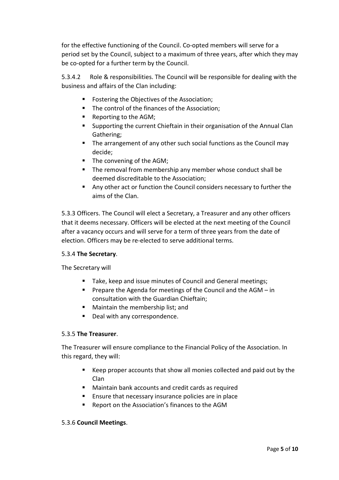for the effective functioning of the Council. Co-opted members will serve for a period set by the Council, subject to a maximum of three years, after which they may be co-opted for a further term by the Council.

5.3.4.2 Role & responsibilities. The Council will be responsible for dealing with the business and affairs of the Clan including:

- **FICE ASSOCTER FOSTERIOR INCOCE** FOSTERIOR FIGURE
- **The control of the finances of the Association;**
- Reporting to the AGM;
- Supporting the current Chieftain in their organisation of the Annual Clan Gathering;
- **The arrangement of any other such social functions as the Council may** decide;
- The convening of the AGM;
- The removal from membership any member whose conduct shall be deemed discreditable to the Association;
- Any other act or function the Council considers necessary to further the aims of the Clan.

5.3.3 Officers. The Council will elect a Secretary, a Treasurer and any other officers that it deems necessary. Officers will be elected at the next meeting of the Council after a vacancy occurs and will serve for a term of three years from the date of election. Officers may be re-elected to serve additional terms.

## 5.3.4 **The Secretary**.

The Secretary will

- Take, keep and issue minutes of Council and General meetings;
- **Prepare the Agenda for meetings of the Council and the AGM in** consultation with the Guardian Chieftain;
- **Maintain the membership list; and**
- Deal with any correspondence.

## 5.3.5 **The Treasurer**.

The Treasurer will ensure compliance to the Financial Policy of the Association. In this regard, they will:

- Keep proper accounts that show all monies collected and paid out by the Clan
- Maintain bank accounts and credit cards as required
- **Ensure that necessary insurance policies are in place**
- Report on the Association's finances to the AGM

## 5.3.6 **Council Meetings**.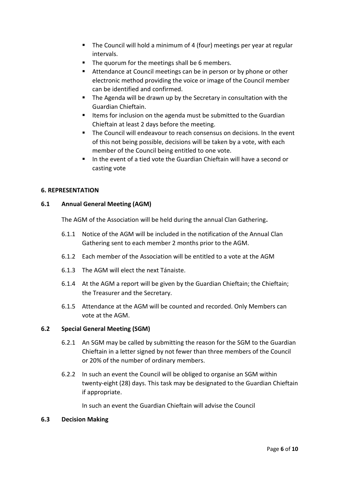- The Council will hold a minimum of 4 (four) meetings per year at regular intervals.
- The quorum for the meetings shall be 6 members.
- Attendance at Council meetings can be in person or by phone or other electronic method providing the voice or image of the Council member can be identified and confirmed.
- The Agenda will be drawn up by the Secretary in consultation with the Guardian Chieftain.
- Items for inclusion on the agenda must be submitted to the Guardian Chieftain at least 2 days before the meeting.
- The Council will endeavour to reach consensus on decisions. In the event of this not being possible, decisions will be taken by a vote, with each member of the Council being entitled to one vote.
- In the event of a tied vote the Guardian Chieftain will have a second or casting vote

## **6. REPRESENTATION**

## **6.1 Annual General Meeting (AGM)**

The AGM of the Association will be held during the annual Clan Gathering.

- 6.1.1 Notice of the AGM will be included in the notification of the Annual Clan Gathering sent to each member 2 months prior to the AGM.
- 6.1.2 Each member of the Association will be entitled to a vote at the AGM
- 6.1.3 The AGM will elect the next Tánaiste.
- 6.1.4 At the AGM a report will be given by the Guardian Chieftain; the Chieftain; the Treasurer and the Secretary.
- 6.1.5 Attendance at the AGM will be counted and recorded. Only Members can vote at the AGM.

## **6.2 Special General Meeting (SGM)**

- 6.2.1 An SGM may be called by submitting the reason for the SGM to the Guardian Chieftain in a letter signed by not fewer than three members of the Council or 20% of the number of ordinary members.
- 6.2.2 In such an event the Council will be obliged to organise an SGM within twenty-eight (28) days. This task may be designated to the Guardian Chieftain if appropriate.

In such an event the Guardian Chieftain will advise the Council

## **6.3 Decision Making**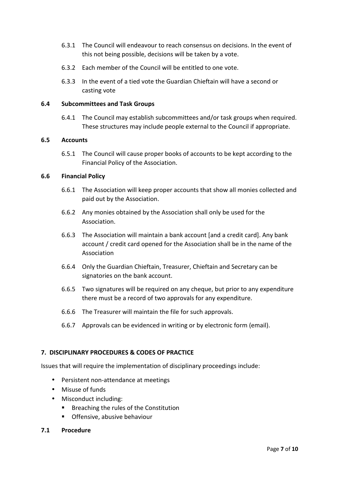- 6.3.1 The Council will endeavour to reach consensus on decisions. In the event of this not being possible, decisions will be taken by a vote.
- 6.3.2 Each member of the Council will be entitled to one vote.
- 6.3.3 In the event of a tied vote the Guardian Chieftain will have a second or casting vote

## **6.4 Subcommittees and Task Groups**

6.4.1 The Council may establish subcommittees and/or task groups when required. These structures may include people external to the Council if appropriate.

#### **6.5 Accounts**

6.5.1 The Council will cause proper books of accounts to be kept according to the Financial Policy of the Association.

## **6.6 Financial Policy**

- 6.6.1 The Association will keep proper accounts that show all monies collected and paid out by the Association.
- 6.6.2 Any monies obtained by the Association shall only be used for the Association.
- 6.6.3 The Association will maintain a bank account [and a credit card]. Any bank account / credit card opened for the Association shall be in the name of the Association
- 6.6.4 Only the Guardian Chieftain, Treasurer, Chieftain and Secretary can be signatories on the bank account.
- 6.6.5 Two signatures will be required on any cheque, but prior to any expenditure there must be a record of two approvals for any expenditure.
- 6.6.6 The Treasurer will maintain the file for such approvals.
- 6.6.7 Approvals can be evidenced in writing or by electronic form (email).

## **7. DISCIPLINARY PROCEDURES & CODES OF PRACTICE**

Issues that will require the implementation of disciplinary proceedings include:

- Persistent non-attendance at meetings
- Misuse of funds
- Misconduct including:
	- **Breaching the rules of the Constitution**
	- **•** Offensive, abusive behaviour
- **7.1 Procedure**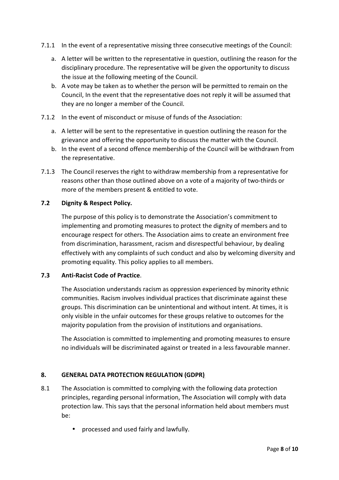- 7.1.1 In the event of a representative missing three consecutive meetings of the Council:
	- a. A letter will be written to the representative in question, outlining the reason for the disciplinary procedure. The representative will be given the opportunity to discuss the issue at the following meeting of the Council.
	- b. A vote may be taken as to whether the person will be permitted to remain on the Council, In the event that the representative does not reply it will be assumed that they are no longer a member of the Council.
- 7.1.2 In the event of misconduct or misuse of funds of the Association:
	- a. A letter will be sent to the representative in question outlining the reason for the grievance and offering the opportunity to discuss the matter with the Council.
	- b. In the event of a second offence membership of the Council will be withdrawn from the representative.
- 7.1.3 The Council reserves the right to withdraw membership from a representative for reasons other than those outlined above on a vote of a majority of two-thirds or more of the members present & entitled to vote.

## **7.2 Dignity & Respect Policy.**

The purpose of this policy is to demonstrate the Association's commitment to implementing and promoting measures to protect the dignity of members and to encourage respect for others. The Association aims to create an environment free from discrimination, harassment, racism and disrespectful behaviour, by dealing effectively with any complaints of such conduct and also by welcoming diversity and promoting equality. This policy applies to all members.

## **7.3 Anti-Racist Code of Practice**.

The Association understands racism as oppression experienced by minority ethnic communities. Racism involves individual practices that discriminate against these groups. This discrimination can be unintentional and without intent. At times, it is only visible in the unfair outcomes for these groups relative to outcomes for the majority population from the provision of institutions and organisations.

The Association is committed to implementing and promoting measures to ensure no individuals will be discriminated against or treated in a less favourable manner.

## **8. GENERAL DATA PROTECTION REGULATION (GDPR)**

- 8.1 The Association is committed to complying with the following data protection principles, regarding personal information, The Association will comply with data protection law. This says that the personal information held about members must be:
	- processed and used fairly and lawfully.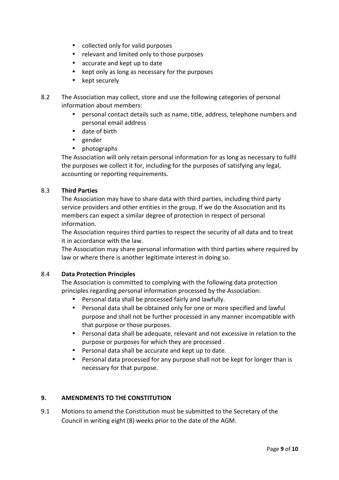- collected only for valid purposes
- relevant and limited only to those purposes
- accurate and kept up to date
- kept only as long as necessary for the purposes
- kept securely
- 8.2 The Association may collect, store and use the following categories of personal information about members:
	- personal contact details such as name, title, address, telephone numbers and personal email address
	- date of birth
	- gender
	- photographs

The Association will only retain personal information for as long as necessary to fulfil the purposes we collect it for, including for the purposes of satisfying any legal, accounting or reporting requirements.

## 8.3 **Third Parties**

The Association may have to share data with third parties, including third party service providers and other entities in the group. If we do the Association and its members can expect a similar degree of protection in respect of personal information.

The Association requires third parties to respect the security of all data and to treat it in accordance with the law.

The Association may share personal information with third parties where required by law or where there is another legitimate interest in doing so.

## 8.4 **Data Protection Principles**

The Association is committed to complying with the following data protection principles regarding personal information processed by the Association:

- Personal data shall be processed fairly and lawfully.
- Personal data shall be obtained only for one or more specified and lawful purpose and shall not be further processed in any manner incompatible with that purpose or those purposes.
- Personal data shall be adequate, relevant and not excessive in relation to the purpose or purposes for which they are processed .
- Personal data shall be accurate and kept up to date.
- Personal data processed for any purpose shall not be kept for longer than is necessary for that purpose.

## **9. AMENDMENTS TO THE CONSTITUTION**

9.1 Motions to amend the Constitution must be submitted to the Secretary of the Council in writing eight (8) weeks prior to the date of the AGM.